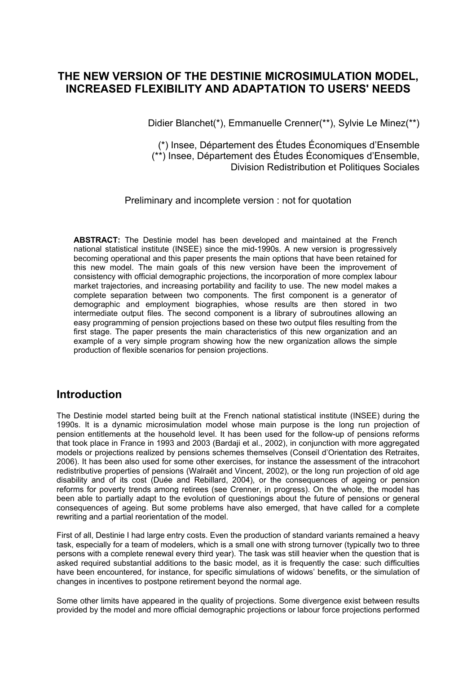# **THE NEW VERSION OF THE DESTINIE MICROSIMULATION MODEL, INCREASED FLEXIBILITY AND ADAPTATION TO USERS' NEEDS**

Didier Blanchet(\*), Emmanuelle Crenner(\*\*), Sylvie Le Minez(\*\*)

(\*) Insee, Département des Études Économiques d'Ensemble (\*\*) Insee, Département des Études Économiques d'Ensemble, Division Redistribution et Politiques Sociales

Preliminary and incomplete version : not for quotation

**ABSTRACT:** The Destinie model has been developed and maintained at the French national statistical institute (INSEE) since the mid-1990s. A new version is progressively becoming operational and this paper presents the main options that have been retained for this new model. The main goals of this new version have been the improvement of consistency with official demographic projections, the incorporation of more complex labour market trajectories, and increasing portability and facility to use. The new model makes a complete separation between two components. The first component is a generator of demographic and employment biographies, whose results are then stored in two intermediate output files. The second component is a library of subroutines allowing an easy programming of pension projections based on these two output files resulting from the first stage. The paper presents the main characteristics of this new organization and an example of a very simple program showing how the new organization allows the simple production of flexible scenarios for pension projections.

## **Introduction**

The Destinie model started being built at the French national statistical institute (INSEE) during the 1990s. It is a dynamic microsimulation model whose main purpose is the long run projection of pension entitlements at the household level. It has been used for the follow-up of pensions reforms that took place in France in 1993 and 2003 (Bardaji et al., 2002), in conjunction with more aggregated models or projections realized by pensions schemes themselves (Conseil d'Orientation des Retraites, 2006). It has been also used for some other exercises, for instance the assessment of the intracohort redistributive properties of pensions (Walraët and Vincent, 2002), or the long run projection of old age disability and of its cost (Duée and Rebillard, 2004), or the consequences of ageing or pension reforms for poverty trends among retirees (see Crenner, in progress). On the whole, the model has been able to partially adapt to the evolution of questionings about the future of pensions or general consequences of ageing. But some problems have also emerged, that have called for a complete rewriting and a partial reorientation of the model.

First of all, Destinie I had large entry costs. Even the production of standard variants remained a heavy task, especially for a team of modelers, which is a small one with strong turnover (typically two to three persons with a complete renewal every third year). The task was still heavier when the question that is asked required substantial additions to the basic model, as it is frequently the case: such difficulties have been encountered, for instance, for specific simulations of widows' benefits, or the simulation of changes in incentives to postpone retirement beyond the normal age.

Some other limits have appeared in the quality of projections. Some divergence exist between results provided by the model and more official demographic projections or labour force projections performed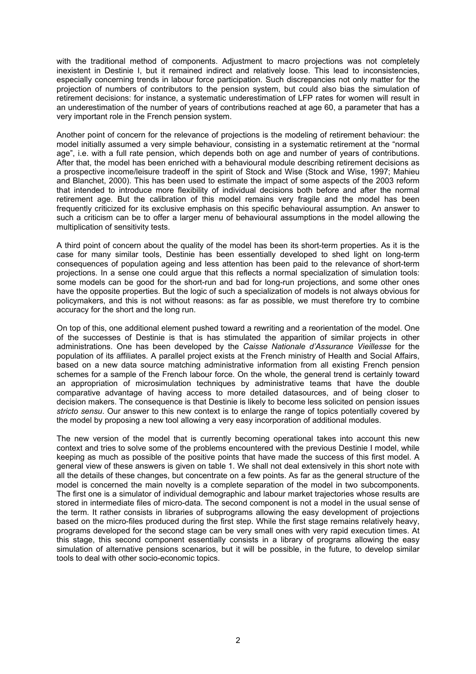with the traditional method of components. Adjustment to macro projections was not completely inexistent in Destinie I, but it remained indirect and relatively loose. This lead to inconsistencies, especially concerning trends in labour force participation. Such discrepancies not only matter for the projection of numbers of contributors to the pension system, but could also bias the simulation of retirement decisions: for instance, a systematic underestimation of LFP rates for women will result in an underestimation of the number of years of contributions reached at age 60, a parameter that has a very important role in the French pension system.

Another point of concern for the relevance of projections is the modeling of retirement behaviour: the model initially assumed a very simple behaviour, consisting in a systematic retirement at the "normal age", i.e. with a full rate pension, which depends both on age and number of years of contributions. After that, the model has been enriched with a behavioural module describing retirement decisions as a prospective income/leisure tradeoff in the spirit of Stock and Wise (Stock and Wise, 1997; Mahieu and Blanchet, 2000). This has been used to estimate the impact of some aspects of the 2003 reform that intended to introduce more flexibility of individual decisions both before and after the normal retirement age. But the calibration of this model remains very fragile and the model has been frequently criticized for its exclusive emphasis on this specific behavioural assumption. An answer to such a criticism can be to offer a larger menu of behavioural assumptions in the model allowing the multiplication of sensitivity tests.

A third point of concern about the quality of the model has been its short-term properties. As it is the case for many similar tools, Destinie has been essentially developed to shed light on long-term consequences of population ageing and less attention has been paid to the relevance of short-term projections. In a sense one could argue that this reflects a normal specialization of simulation tools: some models can be good for the short-run and bad for long-run projections, and some other ones have the opposite properties. But the logic of such a specialization of models is not always obvious for policymakers, and this is not without reasons: as far as possible, we must therefore try to combine accuracy for the short and the long run.

On top of this, one additional element pushed toward a rewriting and a reorientation of the model. One of the successes of Destinie is that is has stimulated the apparition of similar projects in other administrations. One has been developed by the *Caisse Nationale d'Assurance Vieillesse* for the population of its affiliates. A parallel project exists at the French ministry of Health and Social Affairs, based on a new data source matching administrative information from all existing French pension schemes for a sample of the French labour force. On the whole, the general trend is certainly toward an appropriation of microsimulation techniques by administrative teams that have the double comparative advantage of having access to more detailed datasources, and of being closer to decision makers. The consequence is that Destinie is likely to become less solicited on pension issues *stricto sensu*. Our answer to this new context is to enlarge the range of topics potentially covered by the model by proposing a new tool allowing a very easy incorporation of additional modules.

The new version of the model that is currently becoming operational takes into account this new context and tries to solve some of the problems encountered with the previous Destinie I model, while keeping as much as possible of the positive points that have made the success of this first model. A general view of these answers is given on table 1. We shall not deal extensively in this short note with all the details of these changes, but concentrate on a few points. As far as the general structure of the model is concerned the main novelty is a complete separation of the model in two subcomponents. The first one is a simulator of individual demographic and labour market trajectories whose results are stored in intermediate files of micro-data. The second component is not a model in the usual sense of the term. It rather consists in libraries of subprograms allowing the easy development of projections based on the micro-files produced during the first step. While the first stage remains relatively heavy, programs developed for the second stage can be very small ones with very rapid execution times. At this stage, this second component essentially consists in a library of programs allowing the easy simulation of alternative pensions scenarios, but it will be possible, in the future, to develop similar tools to deal with other socio-economic topics.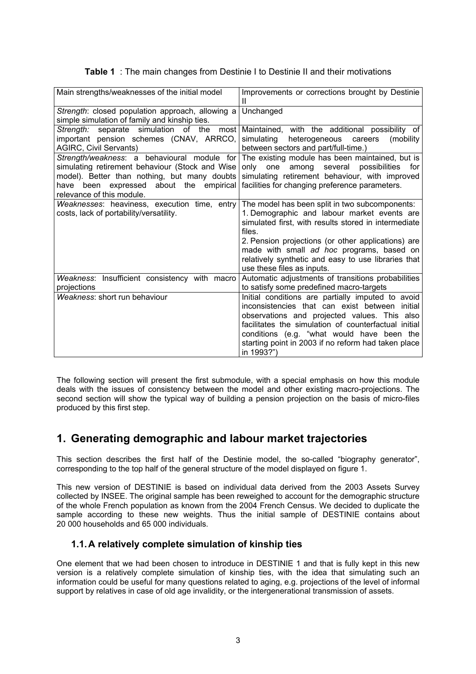|  |  |  |  |  | <b>Table 1</b> : The main changes from Destinie I to Destinie II and their motivations |
|--|--|--|--|--|----------------------------------------------------------------------------------------|
|--|--|--|--|--|----------------------------------------------------------------------------------------|

| Main strengths/weaknesses of the initial model                                                                                                                                                                         | Improvements or corrections brought by Destinie<br>Ш                                                                                                                                                                                                                                                                                                    |
|------------------------------------------------------------------------------------------------------------------------------------------------------------------------------------------------------------------------|---------------------------------------------------------------------------------------------------------------------------------------------------------------------------------------------------------------------------------------------------------------------------------------------------------------------------------------------------------|
| Strength: closed population approach, allowing a<br>simple simulation of family and kinship ties.                                                                                                                      | Unchanged                                                                                                                                                                                                                                                                                                                                               |
| Strength: separate simulation<br>of the<br>most<br>important pension schemes (CNAV, ARRCO,<br><b>AGIRC, Civil Servants)</b>                                                                                            | Maintained, with the additional possibility of<br>heterogeneous careers<br>simulating<br>(mobility)<br>between sectors and part/full-time.)                                                                                                                                                                                                             |
| simulating retirement behaviour (Stock and Wise<br>model). Better than nothing, but many doubts<br>have been expressed about the empirical facilities for changing preference parameters.<br>relevance of this module. | Strength/weakness: a behavioural module for The existing module has been maintained, but is<br>only<br>one<br>among<br>several<br>possibilities<br>for<br>simulating retirement behaviour, with improved                                                                                                                                                |
| Weaknesses: heaviness, execution time, entry<br>costs, lack of portability/versatility.                                                                                                                                | The model has been split in two subcomponents:<br>1. Demographic and labour market events are<br>simulated first, with results stored in intermediate<br>files.<br>2. Pension projections (or other applications) are<br>made with small ad hoc programs, based on<br>relatively synthetic and easy to use libraries that<br>use these files as inputs. |
| Weakness: Insufficient consistency with macro<br>projections                                                                                                                                                           | Automatic adjustments of transitions probabilities<br>to satisfy some predefined macro-targets                                                                                                                                                                                                                                                          |
| Weakness: short run behaviour                                                                                                                                                                                          | Initial conditions are partially imputed to avoid<br>inconsistencies that can exist between initial<br>observations and projected values. This also<br>facilitates the simulation of counterfactual initial<br>conditions (e.g. "what would have been the<br>starting point in 2003 if no reform had taken place<br>in 1993?")                          |

The following section will present the first submodule, with a special emphasis on how this module deals with the issues of consistency between the model and other existing macro-projections. The second section will show the typical way of building a pension projection on the basis of micro-files produced by this first step.

# **1. Generating demographic and labour market trajectories**

This section describes the first half of the Destinie model, the so-called "biography generator", corresponding to the top half of the general structure of the model displayed on figure 1.

This new version of DESTINIE is based on individual data derived from the 2003 Assets Survey collected by INSEE. The original sample has been reweighed to account for the demographic structure of the whole French population as known from the 2004 French Census. We decided to duplicate the sample according to these new weights. Thus the initial sample of DESTINIE contains about 20 000 households and 65 000 individuals.

### **1.1. A relatively complete simulation of kinship ties**

One element that we had been chosen to introduce in DESTINIE 1 and that is fully kept in this new version is a relatively complete simulation of kinship ties, with the idea that simulating such an information could be useful for many questions related to aging, e.g. projections of the level of informal support by relatives in case of old age invalidity, or the intergenerational transmission of assets.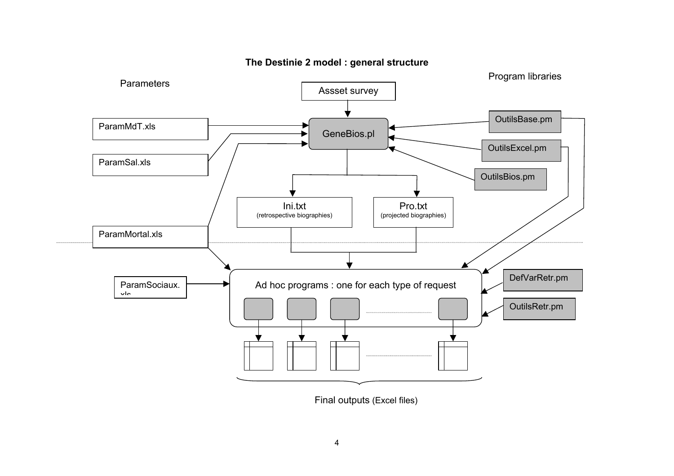

**The Destinie 2 model : general structure** 

Final outputs (Excel files)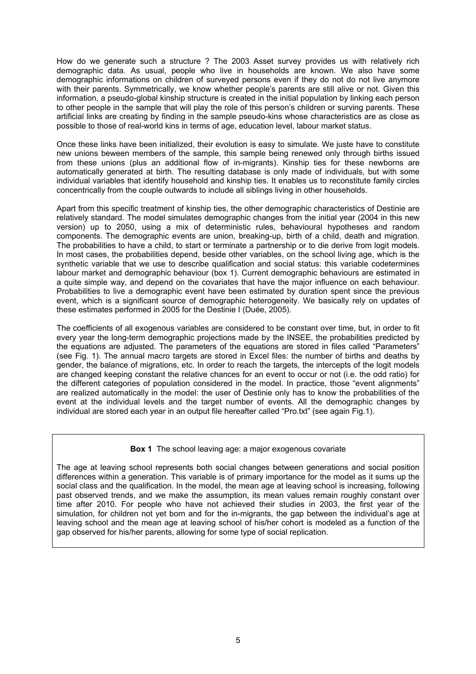How do we generate such a structure ? The 2003 Asset survey provides us with relatively rich demographic data. As usual, people who live in households are known. We also have some demographic informations on children of surveyed persons even if they do not do not live anymore with their parents. Symmetrically, we know whether people's parents are still alive or not. Given this information, a pseudo-global kinship structure is created in the initial population by linking each person to other people in the sample that will play the role of this person's children or surving parents. These artificial links are creating by finding in the sample pseudo-kins whose characteristics are as close as possible to those of real-world kins in terms of age, education level, labour market status.

Once these links have been initialized, their evolution is easy to simulate. We juste have to constitute new unions beween members of the sample, this sample being renewed only through births issued from these unions (plus an additional flow of in-migrants). Kinship ties for these newborns are automatically generated at birth. The resulting database is only made of individuals, but with some individual variables that identify household and kinship ties. It enables us to reconstitute family circles concentrically from the couple outwards to include all siblings living in other households.

Apart from this specific treatment of kinship ties, the other demographic characteristics of Destinie are relatively standard. The model simulates demographic changes from the initial year (2004 in this new version) up to 2050, using a mix of deterministic rules, behavioural hypotheses and random components. The demographic events are union, breaking-up, birth of a child, death and migration. The probabilities to have a child, to start or terminate a partnership or to die derive from logit models. In most cases, the probabilities depend, beside other variables, on the school living age, which is the synthetic variable that we use to describe qualification and social status: this variable codetermines labour market and demographic behaviour (box 1). Current demographic behaviours are estimated in a quite simple way, and depend on the covariates that have the major influence on each behaviour. Probabilities to live a demographic event have been estimated by duration spent since the previous event, which is a significant source of demographic heterogeneity. We basically rely on updates of these estimates performed in 2005 for the Destinie I (Duée, 2005).

The coefficients of all exogenous variables are considered to be constant over time, but, in order to fit every year the long-term demographic projections made by the INSEE, the probabilities predicted by the equations are adjusted. The parameters of the equations are stored in files called "Parameters" (see Fig. 1). The annual macro targets are stored in Excel files: the number of births and deaths by gender, the balance of migrations, etc. In order to reach the targets, the intercepts of the logit models are changed keeping constant the relative chances for an event to occur or not (i.e. the odd ratio) for the different categories of population considered in the model. In practice, those "event alignments" are realized automatically in the model: the user of Destinie only has to know the probabilities of the event at the individual levels and the target number of events. All the demographic changes by individual are stored each year in an output file hereafter called "Pro.txt" (see again Fig.1).

#### **Box 1** The school leaving age: a major exogenous covariate

The age at leaving school represents both social changes between generations and social position differences within a generation. This variable is of primary importance for the model as it sums up the social class and the qualification. In the model, the mean age at leaving school is increasing, following past observed trends, and we make the assumption, its mean values remain roughly constant over time after 2010. For people who have not achieved their studies in 2003, the first year of the simulation, for children not yet born and for the in-migrants, the gap between the individual's age at leaving school and the mean age at leaving school of his/her cohort is modeled as a function of the gap observed for his/her parents, allowing for some type of social replication.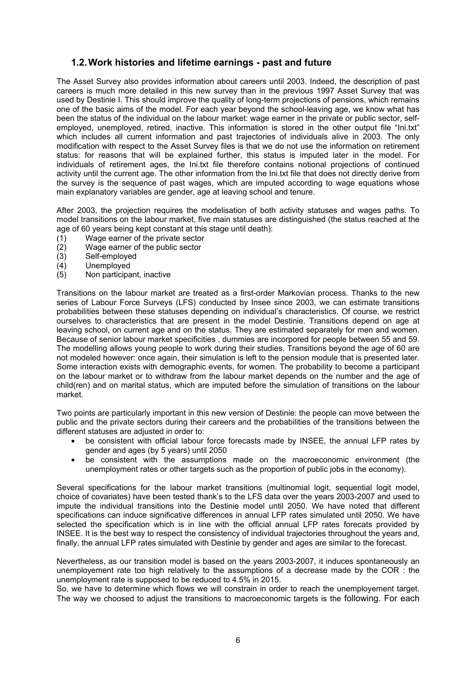### **1.2. Work histories and lifetime earnings - past and future**

The Asset Survey also provides information about careers until 2003. Indeed, the description of past careers is much more detailed in this new survey than in the previous 1997 Asset Survey that was used by Destinie I. This should improve the quality of long-term projections of pensions, which remains one of the basic aims of the model. For each year beyond the school-leaving age, we know what has been the status of the individual on the labour market: wage earner in the private or public sector, selfemployed, unemployed, retired, inactive. This information is stored in the other output file "Ini.txt" which includes all current information and past trajectories of individuals alive in 2003. The only modification with respect to the Asset Survey files is that we do not use the information on retirement status: for reasons that will be explained further, this status is imputed later in the model. For individuals of retirement ages, the Ini.txt file therefore contains notional projections of continued activity until the current age. The other information from the Ini.txt file that does not directly derive from the survey is the sequence of past wages, which are imputed according to wage equations whose main explanatory variables are gender, age at leaving school and tenure.

After 2003, the projection requires the modelisation of both activity statuses and wages paths. To model transitions on the labour market, five main statuses are distinguished (the status reached at the age of 60 years being kept constant at this stage until death):

- (1) Wage earner of the private sector
- (2) Wage earner of the public sector<br>(3) Self-employed
- Self-employed
- (4) Unemployed
- (5) Non participant, inactive

Transitions on the labour market are treated as a first-order Markovian process. Thanks to the new series of Labour Force Surveys (LFS) conducted by Insee since 2003, we can estimate transitions probabilities between these statuses depending on individual's characteristics. Of course, we restrict ourselves to characteristics that are present in the model Destinie. Transitions depend on age at leaving school, on current age and on the status. They are estimated separately for men and women. Because of senior labour market specificities , dummies are incorpored for people between 55 and 59. The modelling allows young people to work during their studies. Transitions beyond the age of 60 are not modeled however: once again, their simulation is left to the pension module that is presented later. Some interaction exists with demographic events, for women. The probability to become a participant on the labour market or to withdraw from the labour market depends on the number and the age of child(ren) and on marital status, which are imputed before the simulation of transitions on the labour market.

Two points are particularly important in this new version of Destinie: the people can move between the public and the private sectors during their careers and the probabilities of the transitions between the different statuses are adjusted in order to:

- be consistent with official labour force forecasts made by INSEE, the annual LFP rates by gender and ages (by 5 years) until 2050
- be consistent with the assumptions made on the macroeconomic environment (the unemployment rates or other targets such as the proportion of public jobs in the economy).

Several specifications for the labour market transitions (multinomial logit, sequential logit model, choice of covariates) have been tested thank's to the LFS data over the years 2003-2007 and used to impute the individual transitions into the Destinie model until 2050. We have noted that different specifications can induce significative differences in annual LFP rates simulated until 2050. We have selected the specification which is in line with the official annual LFP rates forecats provided by INSEE. It is the best way to respect the consistency of individual trajectories throughout the years and, finally, the annual LFP rates simulated with Destinie by gender and ages are similar to the forecast.

Nevertheless, as our transition model is based on the years 2003-2007, it induces spontaneously an unemployement rate too high relatively to the assumptions of a decrease made by the COR : the unemployment rate is supposed to be reduced to 4.5% in 2015.

So, we have to determine which flows we will constrain in order to reach the unemployement target. The way we choosed to adjust the transitions to macroeconomic targets is the following. For each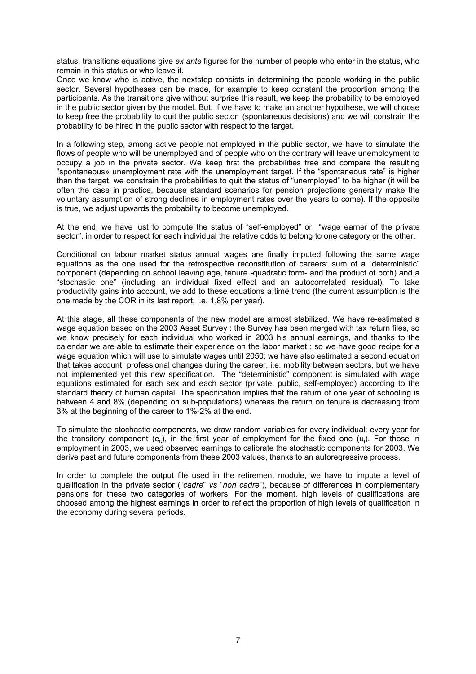status, transitions equations give *ex ante* figures for the number of people who enter in the status, who remain in this status or who leave it.

Once we know who is active, the nextstep consists in determining the people working in the public sector. Several hypotheses can be made, for example to keep constant the proportion among the participants. As the transitions give without surprise this result, we keep the probability to be employed in the public sector given by the model. But, if we have to make an another hypothese, we will choose to keep free the probability to quit the public sector (spontaneous decisions) and we will constrain the probability to be hired in the public sector with respect to the target.

In a following step, among active people not employed in the public sector, we have to simulate the flows of people who will be unemployed and of people who on the contrary will leave unemployment to occupy a job in the private sector. We keep first the probabilities free and compare the resulting "spontaneous» unemployment rate with the unemployment target. If the "spontaneous rate" is higher than the target, we constrain the probabilities to quit the status of "unemployed" to be higher (it will be often the case in practice, because standard scenarios for pension projections generally make the voluntary assumption of strong declines in employment rates over the years to come). If the opposite is true, we adjust upwards the probability to become unemployed.

At the end, we have just to compute the status of "self-employed" or "wage earner of the private sector", in order to respect for each individual the relative odds to belong to one category or the other.

Conditional on labour market status annual wages are finally imputed following the same wage equations as the one used for the retrospective reconstitution of careers: sum of a "deterministic" component (depending on school leaving age, tenure -quadratic form- and the product of both) and a "stochastic one" (including an individual fixed effect and an autocorrelated residual). To take productivity gains into account, we add to these equations a time trend (the current assumption is the one made by the COR in its last report, i.e. 1,8% per year).

At this stage, all these components of the new model are almost stabilized. We have re-estimated a wage equation based on the 2003 Asset Survey : the Survey has been merged with tax return files, so we know precisely for each individual who worked in 2003 his annual earnings, and thanks to the calendar we are able to estimate their experience on the labor market ; so we have good recipe for a wage equation which will use to simulate wages until 2050; we have also estimated a second equation that takes account professional changes during the career, i.e. mobility between sectors, but we have not implemented yet this new specification. The "deterministic" component is simulated with wage equations estimated for each sex and each sector (private, public, self-employed) according to the standard theory of human capital. The specification implies that the return of one year of schooling is between 4 and 8% (depending on sub-populations) whereas the return on tenure is decreasing from 3% at the beginning of the career to 1%-2% at the end.

To simulate the stochastic components, we draw random variables for every individual: every year for the transitory component ( $e_{it}$ ), in the first year of employment for the fixed one (u<sub>i</sub>). For those in employment in 2003, we used observed earnings to calibrate the stochastic components for 2003. We derive past and future components from these 2003 values, thanks to an autoregressive process.

In order to complete the output file used in the retirement module, we have to impute a level of qualification in the private sector ("*cadre*" *vs* "*non cadre*"), because of differences in complementary pensions for these two categories of workers. For the moment, high levels of qualifications are choosed among the highest earnings in order to reflect the proportion of high levels of qualification in the economy during several periods.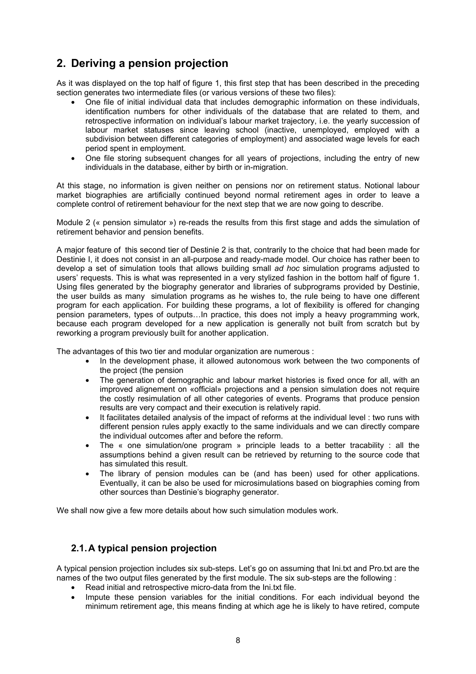# **2. Deriving a pension projection**

As it was displayed on the top half of figure 1, this first step that has been described in the preceding section generates two intermediate files (or various versions of these two files):

- One file of initial individual data that includes demographic information on these individuals, identification numbers for other individuals of the database that are related to them, and retrospective information on individual's labour market trajectory, i.e. the yearly succession of labour market statuses since leaving school (inactive, unemployed, employed with a subdivision between different categories of employment) and associated wage levels for each period spent in employment.
- One file storing subsequent changes for all years of projections, including the entry of new individuals in the database, either by birth or in-migration.

At this stage, no information is given neither on pensions nor on retirement status. Notional labour market biographies are artificially continued beyond normal retirement ages in order to leave a complete control of retirement behaviour for the next step that we are now going to describe.

Module 2 (« pension simulator ») re-reads the results from this first stage and adds the simulation of retirement behavior and pension benefits.

A major feature of this second tier of Destinie 2 is that, contrarily to the choice that had been made for Destinie I, it does not consist in an all-purpose and ready-made model. Our choice has rather been to develop a set of simulation tools that allows building small *ad hoc* simulation programs adjusted to users' requests. This is what was represented in a very stylized fashion in the bottom half of figure 1. Using files generated by the biography generator and libraries of subprograms provided by Destinie, the user builds as many simulation programs as he wishes to, the rule being to have one different program for each application. For building these programs, a lot of flexibility is offered for changing pension parameters, types of outputs…In practice, this does not imply a heavy programming work, because each program developed for a new application is generally not built from scratch but by reworking a program previously built for another application.

The advantages of this two tier and modular organization are numerous :

- In the development phase, it allowed autonomous work between the two components of the project (the pension
- The generation of demographic and labour market histories is fixed once for all, with an improved alignement on «official» projections and a pension simulation does not require the costly resimulation of all other categories of events. Programs that produce pension results are very compact and their execution is relatively rapid.
- It facilitates detailed analysis of the impact of reforms at the individual level : two runs with different pension rules apply exactly to the same individuals and we can directly compare the individual outcomes after and before the reform.
- The « one simulation/one program » principle leads to a better tracability : all the assumptions behind a given result can be retrieved by returning to the source code that has simulated this result.
- The library of pension modules can be (and has been) used for other applications. Eventually, it can be also be used for microsimulations based on biographies coming from other sources than Destinie's biography generator.

We shall now give a few more details about how such simulation modules work.

### **2.1. A typical pension projection**

A typical pension projection includes six sub-steps. Let's go on assuming that Ini.txt and Pro.txt are the names of the two output files generated by the first module. The six sub-steps are the following :

- Read initial and retrospective micro-data from the Ini.txt file.
- Impute these pension variables for the initial conditions. For each individual beyond the minimum retirement age, this means finding at which age he is likely to have retired, compute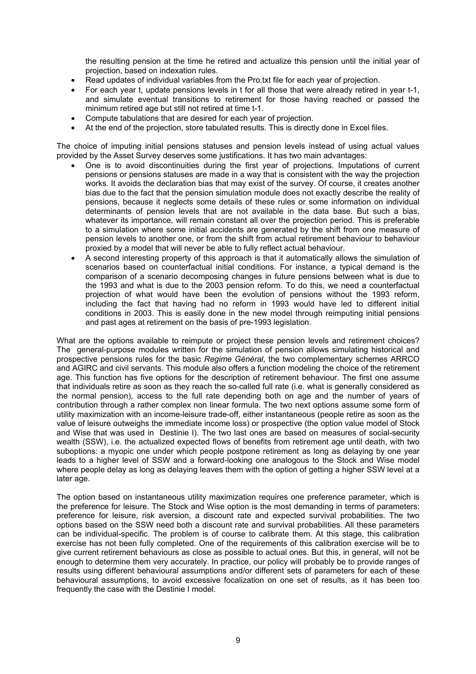the resulting pension at the time he retired and actualize this pension until the initial year of projection, based on indexation rules.

- Read updates of individual variables from the Pro.txt file for each year of projection.
- For each year t, update pensions levels in t for all those that were already retired in year t-1, and simulate eventual transitions to retirement for those having reached or passed the minimum retired age but still not retired at time t-1.
- Compute tabulations that are desired for each year of projection.
- At the end of the projection, store tabulated results. This is directly done in Excel files.

The choice of imputing initial pensions statuses and pension levels instead of using actual values provided by the Asset Survey deserves some justifications. It has two main advantages:

- One is to avoid discontinuities during the first year of projections. Imputations of current pensions or pensions statuses are made in a way that is consistent with the way the projection works. It avoids the declaration bias that may exist of the survey. Of course, it creates another bias due to the fact that the pension simulation module does not exactly describe the reality of pensions, because it neglects some details of these rules or some information on individual determinants of pension levels that are not available in the data base. But such a bias, whatever its importance, will remain constant all over the projection period. This is preferable to a simulation where some initial accidents are generated by the shift from one measure of pension levels to another one, or from the shift from actual retirement behaviour to behaviour proxied by a model that will never be able to fully reflect actual behaviour.
- A second interesting property of this approach is that it automatically allows the simulation of scenarios based on counterfactual initial conditions. For instance, a typical demand is the comparison of a scenario decomposing changes in future pensions between what is due to the 1993 and what is due to the 2003 pension reform. To do this, we need a counterfactual projection of what would have been the evolution of pensions without the 1993 reform, including the fact that having had no reform in 1993 would have led to different initial conditions in 2003. This is easily done in the new model through reimputing initial pensions and past ages at retirement on the basis of pre-1993 legislation.

What are the options available to reimpute or project these pension levels and retirement choices? The general-purpose modules written for the simulation of pension allows simulating historical and prospective pensions rules for the basic *Regime Général*, the two complementary schemes ARRCO and AGIRC and civil servants. This module also offers a function modeling the choice of the retirement age. This function has five options for the description of retirement behaviour. The first one assume that individuals retire as soon as they reach the so-called full rate (i.e. what is generally considered as the normal pension), access to the full rate depending both on age and the number of years of contribution through a rather complex non linear formula. The two next options assume some form of utility maximization with an income-leisure trade-off, either instantaneous (people retire as soon as the value of leisure outweighs the immediate income loss) or prospective (the option value model of Stock and Wise that was used in Destinie I). The two last ones are based on measures of social-security wealth (SSW), i.e. the actualized expected flows of benefits from retirement age until death, with two suboptions: a myopic one under which people postpone retirement as long as delaying by one year leads to a higher level of SSW and a forward-looking one analogous to the Stock and Wise model where people delay as long as delaying leaves them with the option of getting a higher SSW level at a later age.

The option based on instantaneous utility maximization requires one preference parameter, which is the preference for leisure. The Stock and Wise option is the most demanding in terms of parameters: preference for leisure, risk aversion, a discount rate and expected survival probabilities. The two options based on the SSW need both a discount rate and survival probabilities. All these parameters can be individual-specific. The problem is of course to calibrate them. At this stage, this calibration exercise has not been fully completed. One of the requirements of this calibration exercise will be to give current retirement behaviours as close as possible to actual ones. But this, in general, will not be enough to determine them very accurately. In practice, our policy will probably be to provide ranges of results using different behavioural assumptions and/or different sets of parameters for each of these behavioural assumptions, to avoid excessive focalization on one set of results, as it has been too frequently the case with the Destinie I model.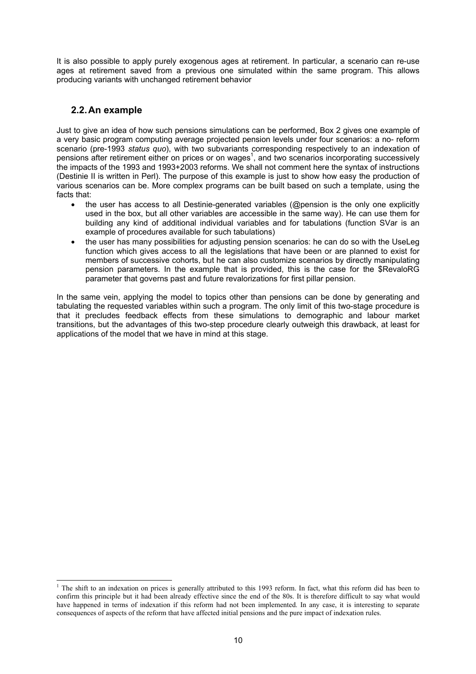It is also possible to apply purely exogenous ages at retirement. In particular, a scenario can re-use ages at retirement saved from a previous one simulated within the same program. This allows producing variants with unchanged retirement behavior

### **2.2. An example**

Just to give an idea of how such pensions simulations can be performed, Box 2 gives one example of a very basic program computing average projected pension levels under four scenarios: a no- reform scenario (pre-1993 *status quo*), with two subvariants corresponding respectively to an indexation of pensions after retirement either on prices or on wages<sup>1</sup>, and two scenarios incorporating successively the impacts of the 1993 and 1993+2003 reforms. We shall not comment here the syntax of instructions (Destinie II is written in Perl). The purpose of this example is just to show how easy the production of various scenarios can be. More complex programs can be built based on such a template, using the facts that:

- the user has access to all Destinie-generated variables (@pension is the only one explicitly used in the box, but all other variables are accessible in the same way). He can use them for building any kind of additional individual variables and for tabulations (function SVar is an example of procedures available for such tabulations)
- the user has many possibilities for adjusting pension scenarios: he can do so with the UseLeg function which gives access to all the legislations that have been or are planned to exist for members of successive cohorts, but he can also customize scenarios by directly manipulating pension parameters. In the example that is provided, this is the case for the \$RevaloRG parameter that governs past and future revalorizations for first pillar pension.

In the same vein, applying the model to topics other than pensions can be done by generating and tabulating the requested variables within such a program. The only limit of this two-stage procedure is that it precludes feedback effects from these simulations to demographic and labour market transitions, but the advantages of this two-step procedure clearly outweigh this drawback, at least for applications of the model that we have in mind at this stage.

The shift to an indexation on prices is generally attributed to this 1993 reform. In fact, what this reform did has been to confirm this principle but it had been already effective since the end of the 80s. It is therefore difficult to say what would have happened in terms of indexation if this reform had not been implemented. In any case, it is interesting to separate consequences of aspects of the reform that have affected initial pensions and the pure impact of indexation rules.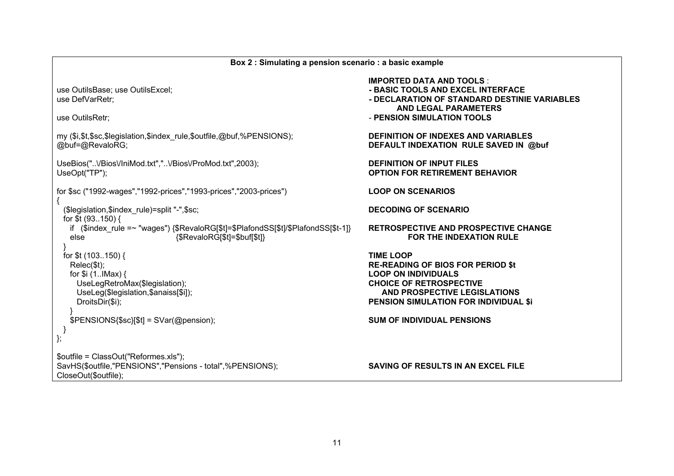| Box 2 : Simulating a pension scenario : a basic example                                                                    |                                                                                                                                                                                   |  |  |  |
|----------------------------------------------------------------------------------------------------------------------------|-----------------------------------------------------------------------------------------------------------------------------------------------------------------------------------|--|--|--|
| use OutilsBase; use OutilsExcel;<br>use DefVarRetr;<br>use OutilsRetr;                                                     | <b>IMPORTED DATA AND TOOLS:</b><br>- BASIC TOOLS AND EXCEL INTERFACE<br>- DECLARATION OF STANDARD DESTINIE VARIABLES<br><b>AND LEGAL PARAMETERS</b><br>- PENSION SIMULATION TOOLS |  |  |  |
| my (\$i,\$t,\$sc,\$legislation,\$index_rule,\$outfile,@buf,%PENSIONS);<br>@buf=@RevaloRG;                                  | <b>DEFINITION OF INDEXES AND VARIABLES</b><br>DEFAULT INDEXATION RULE SAVED IN @buf                                                                                               |  |  |  |
| UseBios("VBiosVIniMod.txt","VBiosVProMod.txt",2003);<br>UseOpt("TP");                                                      | <b>DEFINITION OF INPUT FILES</b><br><b>OPTION FOR RETIREMENT BEHAVIOR</b>                                                                                                         |  |  |  |
| for \$sc ("1992-wages","1992-prices","1993-prices","2003-prices")                                                          | <b>LOOP ON SCENARIOS</b>                                                                                                                                                          |  |  |  |
| (\$legislation,\$index_rule)=split "-",\$sc;<br>for \$t (93150) {                                                          | <b>DECODING OF SCENARIO</b>                                                                                                                                                       |  |  |  |
| if (\$index_rule =~ "wages") {\$RevaloRG[\$t]=\$PlafondSS[\$t]/\$PlafondSS[\$t-1]}<br>else<br>{\$RevaloRG[\$t]=\$buf[\$t]} | <b>RETROSPECTIVE AND PROSPECTIVE CHANGE</b><br><b>FOR THE INDEXATION RULE</b>                                                                                                     |  |  |  |
| for \$t (103150) {                                                                                                         | <b>TIME LOOP</b>                                                                                                                                                                  |  |  |  |
| Relec(\$t);<br>for $$i$ (1IMax) {                                                                                          | <b>RE-READING OF BIOS FOR PERIOD \$t</b><br><b>LOOP ON INDIVIDUALS</b>                                                                                                            |  |  |  |
| UseLegRetroMax(\$legislation);                                                                                             | <b>CHOICE OF RETROSPECTIVE</b>                                                                                                                                                    |  |  |  |
| UseLeg(\$legislation,\$anaiss[\$i]);                                                                                       | AND PROSPECTIVE LEGISLATIONS                                                                                                                                                      |  |  |  |
| DroitsDir(\$i);                                                                                                            | <b>PENSION SIMULATION FOR INDIVIDUAL \$i</b>                                                                                                                                      |  |  |  |
| \$PENSIONS{\$sc}[\$t] = SVar(@pension);<br>};                                                                              | <b>SUM OF INDIVIDUAL PENSIONS</b>                                                                                                                                                 |  |  |  |
| \$outfile = ClassOut("Reformes.xls");                                                                                      |                                                                                                                                                                                   |  |  |  |
| SavHS(\$outfile,"PENSIONS","Pensions - total",%PENSIONS);<br>CloseOut(\$outfile);                                          | SAVING OF RESULTS IN AN EXCEL FILE                                                                                                                                                |  |  |  |